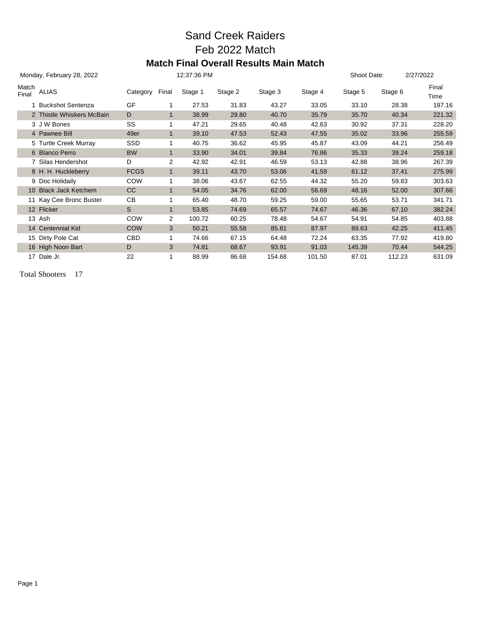## Sand Creek Raiders Feb 2022 Match **Match Final Overall Results Main Match**

|                | Monday, February 28, 2022 |             |              | 12:37:36 PM |         |         |         | Shoot Date: |         | 2/27/2022     |
|----------------|---------------------------|-------------|--------------|-------------|---------|---------|---------|-------------|---------|---------------|
| Match<br>Final | <b>ALIAS</b>              | Category    | Final        | Stage 1     | Stage 2 | Stage 3 | Stage 4 | Stage 5     | Stage 6 | Final<br>Time |
|                | 1 Buckshot Sentenza       | GF          | 1            | 27.53       | 31.83   | 43.27   | 33.05   | 33.10       | 28.38   | 197.16        |
|                | 2 Thistle Whiskers McBain | D           | $\mathbf{1}$ | 38.99       | 29.80   | 40.70   | 35.79   | 35.70       | 40.34   | 221.32        |
|                | 3 J W Bones               | SS          | 1            | 47.21       | 29.65   | 40.48   | 42.63   | 30.92       | 37.31   | 228.20        |
|                | 4 Pawnee Bill             | 49er        | $\mathbf{1}$ | 39.10       | 47.53   | 52.43   | 47.55   | 35.02       | 33.96   | 255.59        |
|                | 5 Turtle Creek Murray     | <b>SSD</b>  | 1            | 40.75       | 36.62   | 45.95   | 45.87   | 43.09       | 44.21   | 256.49        |
|                | 6 Blanco Perro            | <b>BW</b>   | $\mathbf{1}$ | 33.90       | 34.01   | 39.84   | 76.86   | 35.33       | 39.24   | 259.18        |
|                | 7 Silas Hendershot        | D           | 2            | 42.92       | 42.91   | 46.59   | 53.13   | 42.88       | 38.96   | 267.39        |
|                | 8 H. H. Huckleberry       | <b>FCGS</b> | $\mathbf{1}$ | 39.11       | 43.70   | 53.06   | 41.59   | 61.12       | 37.41   | 275.99        |
|                | 9 Doc Holidaily           | <b>COW</b>  | 1            | 38.06       | 43.67   | 62.55   | 44.32   | 55.20       | 59.83   | 303.63        |
|                | 10 Black Jack Ketchem     | <b>CC</b>   | $\mathbf{1}$ | 54.05       | 34.76   | 62.00   | 56.69   | 48.16       | 52.00   | 307.66        |
|                | 11 Kay Cee Bronc Buster   | CВ          | 1            | 65.40       | 48.70   | 59.25   | 59.00   | 55.65       | 53.71   | 341.71        |
|                | 12 Flicker                | S           | $\mathbf{1}$ | 53.85       | 74.69   | 65.57   | 74.67   | 46.36       | 67.10   | 382.24        |
|                | 13 Ash                    | COW         | 2            | 100.72      | 60.25   | 78.48   | 54.67   | 54.91       | 54.85   | 403.88        |
|                | 14 Centennial Kid         | <b>COW</b>  | 3            | 50.21       | 55.58   | 85.81   | 87.97   | 89.63       | 42.25   | 411.45        |
|                | 15 Dirty Pole Cat         | CBD         | 1            | 74.66       | 67.15   | 64.48   | 72.24   | 63.35       | 77.92   | 419.80        |
|                | 16 High Noon Bart         | D           | 3            | 74.81       | 68.67   | 93.91   | 91.03   | 145.39      | 70.44   | 544.25        |
|                | 17 Dale Jr.               | 22          | 1            | 88.99       | 86.68   | 154.68  | 101.50  | 87.01       | 112.23  | 631.09        |

Total Shooters 17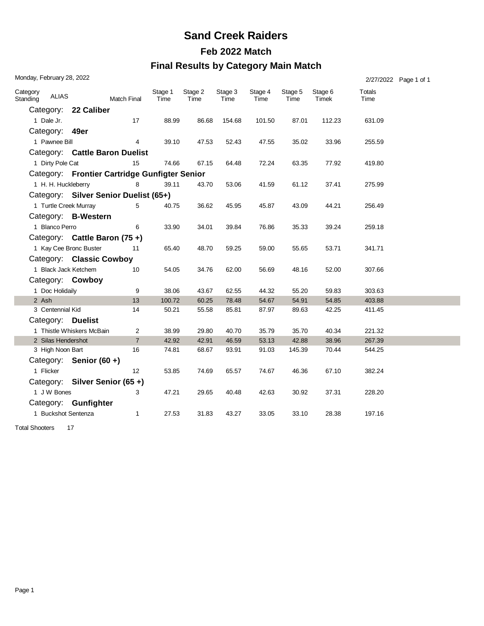## **Sand Creek Raiders**

#### **Feb 2022 Match**

#### **Final Results by Category Main Match**

|                      | Monday, February 28, 2022 |                                               |                    |                 |                 |                 |                 |                 |                  |                | 2/27/2022 Page 1 of 1 |
|----------------------|---------------------------|-----------------------------------------------|--------------------|-----------------|-----------------|-----------------|-----------------|-----------------|------------------|----------------|-----------------------|
| Category<br>Standing | <b>ALIAS</b>              |                                               | <b>Match Final</b> | Stage 1<br>Time | Stage 2<br>Time | Stage 3<br>Time | Stage 4<br>Time | Stage 5<br>Time | Stage 6<br>Timek | Totals<br>Time |                       |
|                      |                           | Category: 22 Caliber                          |                    |                 |                 |                 |                 |                 |                  |                |                       |
|                      | 1 Dale Jr.                |                                               | 17                 | 88.99           | 86.68           | 154.68          | 101.50          | 87.01           | 112.23           | 631.09         |                       |
|                      | Category: 49er            |                                               |                    |                 |                 |                 |                 |                 |                  |                |                       |
|                      | 1 Pawnee Bill             |                                               | 4                  | 39.10           | 47.53           | 52.43           | 47.55           | 35.02           | 33.96            | 255.59         |                       |
|                      |                           | Category: Cattle Baron Duelist                |                    |                 |                 |                 |                 |                 |                  |                |                       |
|                      | 1 Dirty Pole Cat          |                                               | 15                 | 74.66           | 67.15           | 64.48           | 72.24           | 63.35           | 77.92            | 419.80         |                       |
|                      |                           | Category: Frontier Cartridge Gunfigter Senior |                    |                 |                 |                 |                 |                 |                  |                |                       |
|                      | 1 H. H. Huckleberry       |                                               | 8                  | 39.11           | 43.70           | 53.06           | 41.59           | 61.12           | 37.41            | 275.99         |                       |
|                      |                           | Category: Silver Senior Duelist (65+)         |                    |                 |                 |                 |                 |                 |                  |                |                       |
|                      | 1 Turtle Creek Murray     |                                               | 5                  | 40.75           | 36.62           | 45.95           | 45.87           | 43.09           | 44.21            | 256.49         |                       |
|                      |                           | Category: B-Western                           |                    |                 |                 |                 |                 |                 |                  |                |                       |
|                      | 1 Blanco Perro            |                                               | 6                  | 33.90           | 34.01           | 39.84           | 76.86           | 35.33           | 39.24            | 259.18         |                       |
|                      |                           | Category: Cattle Baron (75+)                  |                    |                 |                 |                 |                 |                 |                  |                |                       |
|                      |                           | 1 Kay Cee Bronc Buster                        | 11                 | 65.40           | 48.70           | 59.25           | 59.00           | 55.65           | 53.71            | 341.71         |                       |
|                      |                           | Category: Classic Cowboy                      |                    |                 |                 |                 |                 |                 |                  |                |                       |
|                      | 1 Black Jack Ketchem      |                                               | 10                 | 54.05           | 34.76           | 62.00           | 56.69           | 48.16           | 52.00            | 307.66         |                       |
|                      |                           | Category: Cowboy                              |                    |                 |                 |                 |                 |                 |                  |                |                       |
|                      | 1 Doc Holidaily           |                                               | 9                  | 38.06           | 43.67           | 62.55           | 44.32           | 55.20           | 59.83            | 303.63         |                       |
|                      | 2 Ash                     |                                               | 13                 | 100.72          | 60.25           | 78.48           | 54.67           | 54.91           | 54.85            | 403.88         |                       |
|                      | 3 Centennial Kid          |                                               | 14                 | 50.21           | 55.58           | 85.81           | 87.97           | 89.63           | 42.25            | 411.45         |                       |
|                      |                           | Category: Duelist                             |                    |                 |                 |                 |                 |                 |                  |                |                       |
|                      |                           | 1 Thistle Whiskers McBain                     | 2                  | 38.99           | 29.80           | 40.70           | 35.79           | 35.70           | 40.34            | 221.32         |                       |
|                      | 2 Silas Hendershot        |                                               | $\overline{7}$     | 42.92           | 42.91           | 46.59           | 53.13           | 42.88           | 38.96            | 267.39         |                       |
|                      | 3 High Noon Bart          |                                               | 16                 | 74.81           | 68.67           | 93.91           | 91.03           | 145.39          | 70.44            | 544.25         |                       |
|                      |                           | Category: Senior (60+)                        |                    |                 |                 |                 |                 |                 |                  |                |                       |
|                      | 1 Flicker                 |                                               | 12                 | 53.85           | 74.69           | 65.57           | 74.67           | 46.36           | 67.10            | 382.24         |                       |
|                      |                           | Category: Silver Senior (65+)                 |                    |                 |                 |                 |                 |                 |                  |                |                       |
|                      | 1 J W Bones               |                                               | 3                  | 47.21           | 29.65           | 40.48           | 42.63           | 30.92           | 37.31            | 228.20         |                       |
|                      |                           | Category: Gunfighter                          |                    |                 |                 |                 |                 |                 |                  |                |                       |
|                      | 1 Buckshot Sentenza       |                                               | $\mathbf{1}$       | 27.53           | 31.83           | 43.27           | 33.05           | 33.10           | 28.38            | 197.16         |                       |

Total Shooters 17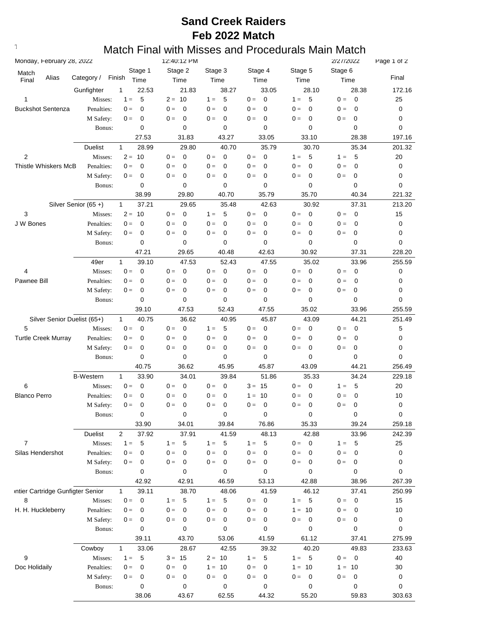## **Text376: Match Final with Misses and Procedurals Main Match**

|                                           |                         | 12:40:12 PM                       |                                  |                      |                         | 2/27/2022                         | Page 1 of 2 |
|-------------------------------------------|-------------------------|-----------------------------------|----------------------------------|----------------------|-------------------------|-----------------------------------|-------------|
| Match                                     | Stage 1                 | Stage 2                           | Stage 3                          | Stage 4              | Stage 5                 | Stage 6                           |             |
| Alias<br>Category /<br>Final              | Finish<br>Time          | Time                              | Time                             | Time                 | Time                    | Time                              | Final       |
| Gunfighter                                | $\mathbf{1}$<br>22.53   | 21.83                             | 38.27                            | 33.05                | 28.10                   | 28.38                             | 172.16      |
| 1<br>Misses:                              | 5<br>$1 =$              | $2 = 10$                          | 5<br>$1 =$                       | $0 =$<br>$\mathbf 0$ | 5<br>$1 =$              | $\overline{\mathbf{0}}$<br>$0 =$  | 25          |
| <b>Buckshot Sentenza</b><br>Penalties:    | 0<br>$0 =$              | $0 =$<br>$\mathbf 0$              | 0<br>$0 =$                       | $0 =$<br>0           | $\mathbf 0$<br>$0 =$    | 0<br>$0 =$                        | 0           |
| M Safety:                                 | 0<br>$0 =$              | $\mathbf 0$<br>$0 =$              | 0<br>$0 =$                       | $0 =$<br>0           | $\mathbf 0$<br>$0 =$    | $\mathbf 0$<br>$0 =$              | 0           |
| Bonus:                                    | 0                       | 0                                 | 0                                | 0                    | 0                       | 0                                 | 0           |
|                                           | 27.53                   | 31.83                             | 43.27                            | 33.05                | 33.10                   | 28.38                             | 197.16      |
| <b>Duelist</b>                            | 28.99<br>$\mathbf{1}$   | 29.80                             | 40.70                            | 35.79                | 30.70                   | 35.34                             | 201.32      |
| $\overline{2}$<br>Misses:                 | $2 = 10$                | $\mathbf 0$<br>$0 =$              | $\overline{0}$<br>$0 =$          | $0 =$<br>$\mathbf 0$ | 5<br>$1 =$              | 5<br>$1 =$                        | 20          |
| <b>Thistle Whiskers McB</b><br>Penalties: | $\mathbf 0$<br>$0 =$    | $\mathbf 0$<br>$0 =$              | 0<br>$0 =$                       | $0 =$<br>0           | $\mathbf 0$<br>$0 =$    | $\mathbf 0$<br>$0 =$              | 0           |
| M Safety:                                 | 0<br>$0 =$              | 0<br>$0 =$                        | $\mathbf 0$<br>$0 =$             | $0 =$<br>0           | $\mathbf 0$<br>$0 =$    | 0<br>$0 =$                        | 0           |
| Bonus:                                    | 0                       | 0                                 | 0                                | $\mathbf 0$          | 0                       | 0                                 | 0           |
|                                           | 38.99                   | 29.80                             | 40.70                            | 35.79                | 35.70                   | 40.34                             | 221.32      |
| Silver Senior (65+)                       | 37.21<br>$\mathbf{1}$   | 29.65                             | 35.48                            | 42.63                | 30.92                   | 37.31                             | 213.20      |
| 3<br>Misses:                              | $2 = 10$                | $0 =$<br>$\mathbf 0$              | -5<br>$1 =$                      | $0 =$<br>$\mathbf 0$ | $\mathbf 0$<br>$0 =$    | $\overline{\mathbf{0}}$<br>$0 =$  | 15          |
| J W Bones<br>Penalties:                   | 0<br>$0 =$              | $0 =$<br>0                        | 0<br>$0 =$                       | $0 =$<br>0           | $0 =$<br>0              | $\mathbf 0$<br>$0 =$              | 0           |
| M Safety:                                 | 0<br>$0 =$              | 0<br>$0 =$                        | 0<br>$0 =$                       | $0 =$<br>0           | $0 =$<br>0              | 0<br>$0 =$                        | 0           |
| Bonus:                                    | 0                       | 0                                 | $\mathbf 0$                      | 0                    | 0                       | 0                                 | 0           |
|                                           | 47.21                   | 29.65                             | 40.48                            | 42.63                | 30.92                   | 37.31                             | 228.20      |
| 49er                                      | 39.10<br>$\mathbf{1}$   | 47.53                             | 52.43                            | 47.55                | 35.02                   | 33.96                             | 255.59      |
| 4<br>Misses:                              | $\mathbf 0$<br>$0 =$    | $0 =$<br>$\mathbf 0$              | $\overline{0}$<br>$0 =$          | $0 =$<br>0           | $0 =$<br>$\mathbf 0$    | $\overline{0}$<br>$0 =$           | 0           |
| Pawnee Bill                               |                         | $0 =$<br>$\mathbf 0$              | $0 =$<br>0                       | 0                    | $0 =$<br>$\mathbf 0$    | $\mathbf 0$                       |             |
| Penalties:                                | 0<br>$0 =$              |                                   |                                  | $0 =$                | $0 =$                   | $0 =$                             | 0           |
| M Safety:                                 | 0<br>$0 =$              | $0 =$<br>0                        | 0<br>$0 =$                       | $0 =$<br>$\mathbf 0$ | $\mathbf 0$             | 0<br>$0 =$                        | 0           |
| Bonus:                                    | 0                       | $\mathbf 0$                       | $\mathbf 0$                      | 0                    | 0                       | 0                                 | 0           |
|                                           | 39.10                   | 47.53                             | 52.43                            | 47.55                | 35.02                   | 33.96                             | 255.59      |
| Silver Senior Duelist (65+)               | 40.75<br>$\mathbf{1}$   | 36.62                             | 40.95                            | 45.87                | 43.09                   | 44.21                             | 251.49      |
| 5<br>Misses:                              | $\mathbf 0$<br>$0 =$    | $\mathbf 0$<br>$0 =$              | 5<br>$1 =$                       | $0 =$<br>0           | $0 =$<br>$\mathbf 0$    | $\mathbf 0$<br>$0 =$              | 5           |
| <b>Turtle Creek Murray</b><br>Penalties:  | 0<br>$0 =$              | $0 =$<br>0                        | $\mathbf 0$<br>$0 =$             | 0<br>$0 =$           | $0 =$<br>$\mathbf 0$    | 0<br>$0 =$                        | 0           |
| M Safety:                                 | 0<br>$0 =$              | $0 =$<br>0                        | $\mathbf 0$<br>$0 =$             | $0 =$<br>$\mathbf 0$ | $0 =$<br>$\mathbf 0$    | 0<br>$0 =$                        | 0           |
| Bonus:                                    | 0                       | 0                                 | 0                                | 0                    | 0                       | 0                                 | 0           |
|                                           | 40.75                   | 36.62                             | 45.95                            | 45.87                | 43.09                   | 44.21                             | 256.49      |
| <b>B-Western</b>                          | $\mathbf{1}$<br>33.90   | 34.01                             | 39.84                            | 51.86                | 35.33                   | 34.24                             | 229.18      |
| 6<br>Misses:                              | $0 =$<br>$\mathbf 0$    | 0<br>$0 =$                        | $\mathbf 0$<br>$0 =$             | $3 = 15$             | $\mathbf 0$<br>$0 =$    | 5<br>$1 =$                        | 20          |
| <b>Blanco Perro</b><br>Penalties:         | 0<br>$0 =$              | $\mathbf 0$<br>$0 =$              | 0<br>$0 =$                       | 10<br>$1 =$          | $\mathbf 0$<br>$0 =$    | 0<br>$0 =$                        | 10          |
| M Safety:                                 | $0 =$<br>0              | 0<br>$0 =$                        | 0<br>$0 =$                       | $0 =$<br>0           | $0 =$<br>0              | $0 =$<br>0                        |             |
|                                           |                         |                                   |                                  |                      |                         |                                   | 0           |
| Bonus:                                    | 0                       | 0                                 | 0                                | 0                    | 0                       | $\pmb{0}$                         | 0           |
|                                           | 33.90                   | 34.01                             | 39.84                            | 76.86                | 35.33                   | 39.24                             | 259.18      |
| Duelist                                   | $\overline{2}$<br>37.92 | 37.91                             | 41.59                            | 48.13                | 42.88                   | 33.96                             | 242.39      |
| $\overline{7}$<br>Misses:                 | $1 =$<br>5              | 5<br>$1 =$                        | 5<br>$1 =$                       | $1 =$<br>5           | $\overline{0}$<br>$0 =$ | 5<br>$1 =$                        | 25          |
| Silas Hendershot<br>Penalties:            | $0 =$<br>0              | $0 =$<br>$\mathbf 0$              | $0 =$<br>0                       | $0 =$<br>$\mathbf 0$ | $0 =$<br>0              | $0 =$<br>$\mathbf 0$              | 0           |
| M Safety:                                 | 0<br>$0 =$              | $0 =$<br>$\mathbf 0$              | $0 =$<br>$\overline{0}$          | $0 =$<br>0           | $0 =$<br>$\mathbf 0$    | $\mathbf 0$<br>$0 =$              | 0           |
| Bonus:                                    | 0                       | 0                                 | 0                                | 0                    | 0                       | 0                                 | 0           |
|                                           | 42.92                   | 42.91                             | 46.59                            | 53.13                | 42.88                   | 38.96                             | 267.39      |
| intier Cartridge Gunfigter Senior         | $\mathbf{1}$<br>39.11   | 38.70                             | 48.06                            | 41.59                | 46.12                   | 37.41                             | 250.99      |
| 8<br>Misses:                              | $\overline{0}$<br>$0 =$ | 5<br>$1 =$                        | 5<br>$1 =$                       | $0 =$<br>0           | $\overline{5}$<br>$1 =$ | $\overline{\phantom{0}}$<br>$0 =$ | 15          |
| H. H. Huckleberry<br>Penalties:           | $0 =$<br>0              | $\mathbf{0} =$<br>$\mathbf 0$     | $\overline{0}$<br>$0 =$          | $0 =$<br>0           | 10<br>$1 =$             | $0 =$<br>$\overline{\mathbf{0}}$  | 10          |
| M Safety:                                 | $0 =$<br>0              | $0 =$<br>$\overline{\phantom{0}}$ | $\overline{\mathbf{0}}$<br>$0 =$ | $0 =$<br>$\mathbf 0$ | $\overline{0}$<br>$0 =$ | $\overline{0}$<br>$0 =$           | 0           |
| Bonus:                                    | 0                       | 0                                 | 0                                | 0                    | $\mathbf 0$             | 0                                 | 0           |
|                                           | 39.11                   | 43.70                             | 53.06                            | 41.59                | 61.12                   | 37.41                             | 275.99      |
| Cowboy                                    | 33.06<br>$\mathbf{1}$   | 28.67                             | 42.55                            | 39.32                | 40.20                   | 49.83                             | 233.63      |
| 9<br>Misses:                              | 5<br>$1 =$              | $3 = 15$                          | $2 = 10$                         | $1 =$<br>5           | $1 =$<br>5              | $0 = 0$                           | 40          |
|                                           | $0 =$<br>0              | $0 =$<br>$\mathbf 0$              | $1 = 10$                         | $0 =$<br>0           | 10<br>$1 =$             | $1 = 10$                          |             |
| Doc Holidaily<br>Penalties:               | 0<br>$0 =$              | $0 =$<br>$\mathbf 0$              | $\overline{0}$<br>$0 =$          | $0 =$<br>0           | $0 =$<br>$\mathbf 0$    | $0 =$<br>$\overline{0}$           | 30          |
| M Safety:<br>Bonus:                       | 0                       | 0                                 | 0                                | 0                    | 0                       | 0                                 | 0<br>0      |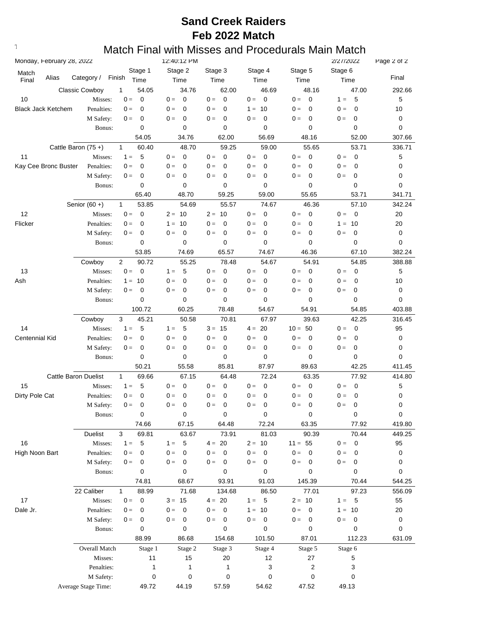## **Text376: Match Final with Misses and Procedurals Main Match**

| Monday, February 28, 2022 |                                  |                |             | 12:40:12 PM          |                      |                                  |                         | 2/27/2022                        | Page 2 of 2 |
|---------------------------|----------------------------------|----------------|-------------|----------------------|----------------------|----------------------------------|-------------------------|----------------------------------|-------------|
| Match                     |                                  |                | Stage 1     | Stage 2              | Stage 3              | Stage 4                          | Stage 5                 | Stage 6                          |             |
| Alias<br>Final            | Category /                       | Finish         | Time        | Time                 | Time                 | Time                             | Time                    | Time                             | Final       |
|                           | <b>Classic Cowboy</b>            | 1              | 54.05       | 34.76                | 62.00                | 46.69                            | 48.16                   | 47.00                            | 292.66      |
| 10                        | Misses:                          | $0 =$          | $\mathbf 0$ | $\mathbf 0$<br>$0 =$ | $\mathbf 0$<br>$0 =$ | $0 =$<br>$\mathbf 0$             | $\overline{0}$<br>$0 =$ | 5<br>$1 =$                       | 5           |
| <b>Black Jack Ketchem</b> | Penalties:                       | $0 =$          | 0           | 0<br>$0 =$           | $0 =$<br>$\mathbf 0$ | 10<br>$1 =$                      | $0 =$<br>$\mathbf 0$    | 0<br>$0 =$                       | 10          |
|                           | M Safety:                        | $0 =$          | 0           | 0<br>$0 =$           | $0 =$<br>$\mathbf 0$ | $\mathbf 0$<br>$0 =$             | 0<br>$0 =$              | $0 =$<br>0                       | 0           |
|                           | Bonus:                           |                | 0           | 0                    | 0                    | $\mathbf 0$                      | 0                       | 0                                | 0           |
|                           |                                  |                | 54.05       | 34.76                | 62.00                | 56.69                            | 48.16                   | 52.00                            | 307.66      |
|                           | Cattle Baron (75+)               | $\mathbf{1}$   | 60.40       | 48.70                | 59.25                | 59.00                            | 55.65                   | 53.71                            | 336.71      |
| 11                        | Misses:                          | $1 =$          | 5           | $0 =$<br>0           | $0 =$<br>0           | $0 =$<br>$\mathbf 0$             | $0 =$<br>$\mathbf 0$    | $0 =$<br>$\mathbf 0$             | 5           |
| Kay Cee Bronc Buster      | Penalties:                       | $0 =$          | 0           | 0<br>$0 =$           | $0 =$<br>0           | $0 =$<br>$\mathbf 0$             | $0 =$<br>0              | $\mathbf 0$<br>$0 =$             | 0           |
|                           | M Safety:                        | $0 =$          | 0           | 0<br>$0 =$           | $0 =$<br>0           | $0 =$<br>0                       | 0<br>$0 =$              | $\mathbf 0$<br>$0 =$             | 0           |
|                           | Bonus:                           |                | 0           | $\mathbf 0$          | 0                    | $\mathbf 0$                      | 0                       | 0                                | 0           |
|                           |                                  |                | 65.40       | 48.70                | 59.25                | 59.00                            | 55.65                   | 53.71                            | 341.71      |
|                           | Senior $(60 +)$                  | $\mathbf{1}$   | 53.85       | 54.69                | 55.57                | 74.67                            | 46.36                   | 57.10                            | 342.24      |
| 12                        | Misses:                          | $0 =$          | $\mathbf 0$ | -10<br>$2 =$         | $2 = 10$             | $0 =$<br>$\mathbf 0$             | $0 =$<br>$\mathbf 0$    | $0 =$<br>$\overline{\mathbf{0}}$ | 20          |
| Flicker                   | Penalties:                       | $0 =$          | 0           | 10<br>$1 =$          | $0 =$<br>0           | $0 =$<br>0                       | $0 =$<br>$\mathbf 0$    | $1 =$<br>10                      | 20          |
|                           | M Safety:                        | $0 =$          | 0           | 0<br>$0 =$           | 0<br>$0 =$           | 0<br>$0 =$                       | $\mathbf 0$<br>$0 =$    | 0<br>$0 =$                       | 0           |
|                           | Bonus:                           |                | 0           | $\mathbf 0$          | 0                    | $\mathbf 0$                      | 0                       | 0                                | 0           |
|                           |                                  |                | 53.85       | 74.69                | 65.57                | 74.67                            | 46.36                   | 67.10                            | 382.24      |
|                           | Cowboy                           | $\overline{2}$ | 90.72       | 55.25                | 78.48                | 54.67                            | 54.91                   | 54.85                            | 388.88      |
| 13                        | Misses:                          | $0 =$          | 0           | 5<br>$1 =$           | $0 =$<br>0           | $0 =$<br>0                       | $0 =$<br>$\mathbf 0$    | $0 =$<br>$\mathbf 0$             | 5           |
| Ash                       | Penalties:                       | $1 =$          | 10          | 0<br>$0 =$           | $0 =$<br>0           | $0 =$<br>0                       | $0 =$<br>0              | $\mathbf 0$<br>$0 =$             | 10          |
|                           | M Safety:                        | $0 =$          | 0           | 0<br>$0 =$           | $0 =$<br>0           | $\mathbf 0$<br>$0 =$             | 0<br>$0 =$              | 0<br>$0 =$                       | 0           |
|                           | Bonus:                           |                | 0           | $\mathbf 0$          | 0                    | 0                                | 0                       | 0                                | 0           |
|                           |                                  |                | 100.72      | 60.25                | 78.48                | 54.67                            | 54.91                   | 54.85                            | 403.88      |
|                           | Cowboy                           | 3              | 45.21       | 50.58                | 70.81                | 67.97                            | 39.63                   | 42.25                            | 316.45      |
| 14                        | Misses:                          | $1 =$          | 5           | 5<br>$1 =$           | $3 = 15$             | 20<br>$4 =$                      | $10 = 50$               | $\mathbf 0$<br>$0 =$             | 95          |
| Centennial Kid            | Penalties:                       | $0 =$          | 0           | 0<br>$0 =$           | $0 =$<br>0           | $\mathbf 0$<br>$0 =$             | $0 =$<br>0              | $0 =$<br>0                       | 0           |
|                           | M Safety:                        | $0 =$          | 0           | 0<br>$0 =$           | $0 =$<br>0           | $0 =$<br>0                       | 0<br>$0 =$              | $0 =$<br>0                       | 0           |
|                           | Bonus:                           |                | 0           | 0                    | 0                    | 0                                | 0                       | 0                                | 0           |
|                           |                                  |                | 50.21       | 55.58                | 85.81                | 87.97                            | 89.63                   | 42.25                            | 411.45      |
|                           | <b>Cattle Baron Duelist</b>      | $\mathbf{1}$   | 69.66       | 67.15                | 64.48                | 72.24                            | 63.35                   | 77.92                            | 414.80      |
| 15                        | Misses:                          | $1 =$          | 5           | 0<br>$0 =$           | $0 =$<br>0           | $0 =$<br>0                       | $\mathbf 0$<br>$0 =$    | $\mathbf 0$<br>$0 =$             | 5           |
| Dirty Pole Cat            | Penalties:                       | $0 =$          | 0           | 0<br>$0 =$           | $0 =$<br>0           | 0<br>$0 =$                       | 0<br>$0 =$              | $\mathbf 0$<br>$0 =$             | 0           |
|                           | M Safety:                        | $0 =$          | 0           | 0<br>$0 =$           | 0<br>$0 =$           | 0<br>$0 =$                       | 0<br>$0 =$              | $0 =$<br>0                       | 0           |
|                           | Bonus:                           |                | 0           | $\pmb{0}$            | 0                    | 0                                | 0                       | $\pmb{0}$                        | $\pmb{0}$   |
|                           |                                  |                | 74.66       | 67.15                | 64.48                | 72.24                            | 63.35                   | 77.92                            | 419.80      |
|                           | Duelist                          | $\mathbf{3}$   | 69.81       | 63.67                | 73.91                | 81.03                            | 90.39                   | 70.44                            | 449.25      |
| 16                        | Misses:                          | $1 =$          | 5           | 5<br>$1 =$           | $4 = 20$             | $2 = 10$                         | $11 = 55$               | $\overline{\mathbf{0}}$<br>$0 =$ | 95          |
| High Noon Bart            | Penalties:                       | $0 =$          | 0           | $0 =$<br>$\mathbf 0$ | $0 =$<br>0           | $0 =$<br>$\mathbf 0$             | $0 =$<br>$\mathbf 0$    | $0 =$<br>0                       | 0           |
|                           | M Safety:                        | $0 =$          | 0           | $0 =$<br>0           | $0 =$<br>0           | $0 =$<br>$\mathbf 0$             | $0 = 0$                 | $0 =$<br>0                       | 0           |
|                           | Bonus:                           |                | 0           | 0                    | 0                    | 0                                | 0                       | 0                                | 0           |
|                           |                                  |                | 74.81       | 68.67                | 93.91                | 91.03                            | 145.39                  | 70.44                            | 544.25      |
|                           | 22 Caliber                       | $\mathbf{1}$   | 88.99       | 71.68                | 134.68               | 86.50                            | 77.01                   | 97.23                            | 556.09      |
| 17                        | Misses:                          | $\mathbf{0} =$ | $\mathbf 0$ | $3 = 15$             | $4 = 20$             | 5<br>$1 =$                       | $2 = 10$                | 5<br>$1 =$                       | 55          |
| Dale Jr.                  | Penalties:                       | $0 =$          | 0           | $\mathbf 0$<br>$0 =$ | $0 =$<br>0           | 10<br>$1 =$                      | $0 =$<br>$\mathbf 0$    | $1 =$<br>10                      | 20          |
|                           | M Safety:                        | $0 =$          | 0           | 0<br>$0 =$           | $0 =$<br>0           | $0 =$<br>$\overline{\mathbf{0}}$ | $0 =$<br>$\mathbf 0$    | $0 =$<br>$\mathbf 0$             | 0           |
|                           | Bonus:                           |                | 0           | $\mathbf 0$          | 0                    | $\mathbf 0$                      | 0                       | 0                                | 0           |
|                           |                                  |                | 88.99       | 86.68                | 154.68               | 101.50                           | 87.01                   | 112.23                           | 631.09      |
|                           | Overall Match                    |                | Stage 1     | Stage 2              | Stage 3              | Stage 4                          | Stage 5                 | Stage 6                          |             |
|                           | Misses:                          |                | 11          | 15                   | 20                   | 12                               | 27                      | 5                                |             |
|                           | Penalties:                       |                | 1           | 1                    | 1                    | 3                                | 2                       | 3                                |             |
|                           | M Safety:<br>Average Stage Time: |                | 0<br>49.72  | 0<br>44.19           | 0<br>57.59           | 0<br>54.62                       | 0<br>47.52              | 0<br>49.13                       |             |
|                           |                                  |                |             |                      |                      |                                  |                         |                                  |             |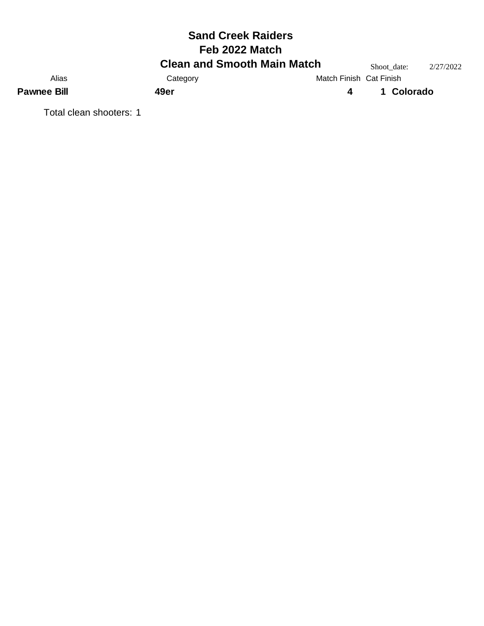|                         | <b>Sand Creek Raiders</b>          |                         |             |           |
|-------------------------|------------------------------------|-------------------------|-------------|-----------|
|                         | Feb 2022 Match                     |                         |             |           |
|                         | <b>Clean and Smooth Main Match</b> |                         | Shoot date: | 2/27/2022 |
| Alias                   | Category                           | Match Finish Cat Finish |             |           |
| <b>Pawnee Bill</b>      | 49er                               | 4                       | 1 Colorado  |           |
| Total clean shooters: 1 |                                    |                         |             |           |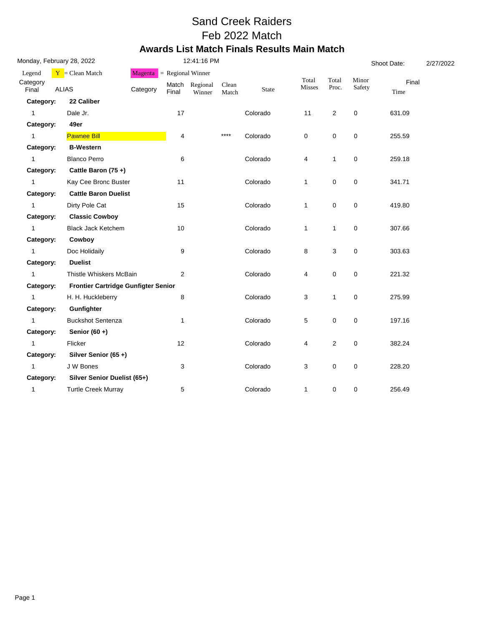### Sand Creek Raiders Feb 2022 Match **Awards List Match Finals Results Main Match**

| Monday, February 28, 2022 |                                     |          | 12:41:16 PM    |                     |                |          |                 |                | Shoot Date:     |               |  |
|---------------------------|-------------------------------------|----------|----------------|---------------------|----------------|----------|-----------------|----------------|-----------------|---------------|--|
| Legend                    | $Y = Clean Match$                   | Magenta  |                | $=$ Regional Winner |                |          |                 |                |                 |               |  |
| Category<br>Final         | <b>ALIAS</b>                        | Category | Match<br>Final | Regional<br>Winner  | Clean<br>Match | State    | Total<br>Misses | Total<br>Proc. | Minor<br>Safety | Final<br>Time |  |
| Category:                 | 22 Caliber                          |          |                |                     |                |          |                 |                |                 |               |  |
| $\mathbf{1}$              | Dale Jr.                            |          | 17             |                     |                | Colorado | 11              | $\overline{2}$ | 0               | 631.09        |  |
| Category:                 | 49er                                |          |                |                     |                |          |                 |                |                 |               |  |
| $\mathbf{1}$              | <b>Pawnee Bill</b>                  |          | 4              |                     | $***$          | Colorado | 0               | 0              | 0               | 255.59        |  |
| Category:                 | <b>B-Western</b>                    |          |                |                     |                |          |                 |                |                 |               |  |
| $\mathbf{1}$              | <b>Blanco Perro</b>                 |          | 6              |                     |                | Colorado | 4               | $\mathbf{1}$   | $\pmb{0}$       | 259.18        |  |
| Category:                 | Cattle Baron (75+)                  |          |                |                     |                |          |                 |                |                 |               |  |
| $\mathbf{1}$              | Kay Cee Bronc Buster                |          | 11             |                     |                | Colorado | $\mathbf{1}$    | $\pmb{0}$      | 0               | 341.71        |  |
| Category:                 | <b>Cattle Baron Duelist</b>         |          |                |                     |                |          |                 |                |                 |               |  |
| $\mathbf{1}$              | Dirty Pole Cat                      |          | 15             |                     |                | Colorado | $\mathbf{1}$    | $\pmb{0}$      | 0               | 419.80        |  |
| Category:                 | <b>Classic Cowboy</b>               |          |                |                     |                |          |                 |                |                 |               |  |
| $\mathbf{1}$              | <b>Black Jack Ketchem</b>           |          | 10             |                     |                | Colorado | $\mathbf{1}$    | $\mathbf{1}$   | 0               | 307.66        |  |
| Category:                 | Cowboy                              |          |                |                     |                |          |                 |                |                 |               |  |
| $\mathbf{1}$              | Doc Holidaily                       |          | 9              |                     |                | Colorado | 8               | 3              | $\mathbf 0$     | 303.63        |  |
| Category:                 | <b>Duelist</b>                      |          |                |                     |                |          |                 |                |                 |               |  |
| $\mathbf{1}$              | Thistle Whiskers McBain             |          | $\overline{2}$ |                     |                | Colorado | 4               | $\pmb{0}$      | $\mathbf 0$     | 221.32        |  |
| Category:                 | Frontier Cartridge Gunfigter Senior |          |                |                     |                |          |                 |                |                 |               |  |
| $\mathbf{1}$              | H. H. Huckleberry                   |          | 8              |                     |                | Colorado | 3               | $\mathbf{1}$   | $\mathbf 0$     | 275.99        |  |
| Category:                 | Gunfighter                          |          |                |                     |                |          |                 |                |                 |               |  |
| $\mathbf{1}$              | <b>Buckshot Sentenza</b>            |          | 1              |                     |                | Colorado | 5               | 0              | 0               | 197.16        |  |
| Category:                 | Senior $(60 +)$                     |          |                |                     |                |          |                 |                |                 |               |  |
| $\mathbf{1}$              | Flicker                             |          | 12             |                     |                | Colorado | 4               | $\sqrt{2}$     | $\mathbf 0$     | 382.24        |  |
| Category:                 | Silver Senior (65+)                 |          |                |                     |                |          |                 |                |                 |               |  |
| $\mathbf{1}$              | J W Bones                           |          | 3              |                     |                | Colorado | 3               | 0              | 0               | 228.20        |  |
| Category:                 | Silver Senior Duelist (65+)         |          |                |                     |                |          |                 |                |                 |               |  |
| 1                         | <b>Turtle Creek Murray</b>          |          | 5              |                     |                | Colorado | $\mathbf{1}$    | 0              | 0               | 256.49        |  |
|                           |                                     |          |                |                     |                |          |                 |                |                 |               |  |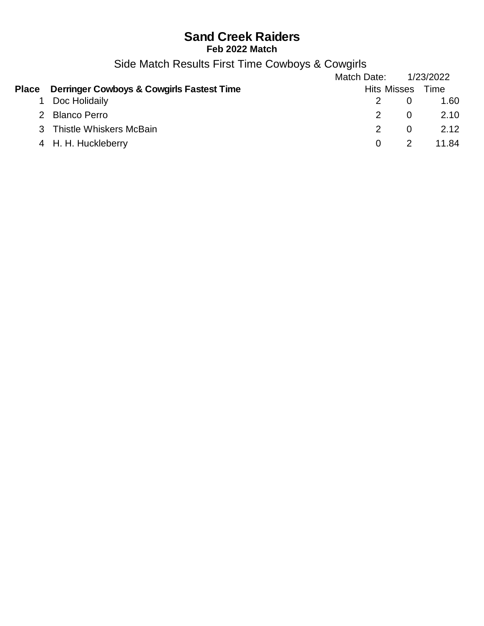Side Match Results First Time Cowboys & Cowgirls

|                                                        | Match Date:   |                    | 1/23/2022 |
|--------------------------------------------------------|---------------|--------------------|-----------|
| <b>Place</b> Derringer Cowboys & Cowgirls Fastest Time |               | <b>Hits Misses</b> | Time      |
| Doc Holidaily                                          |               |                    | 1.60      |
| 2 Blanco Perro                                         | $\mathcal{P}$ | - 0                | 2.10      |
| 3 Thistle Whiskers McBain                              | $2^{\circ}$   |                    | 2.12      |
| 4 H. H. Huckleberry                                    | $\Omega$      | $\overline{2}$     | 11.84     |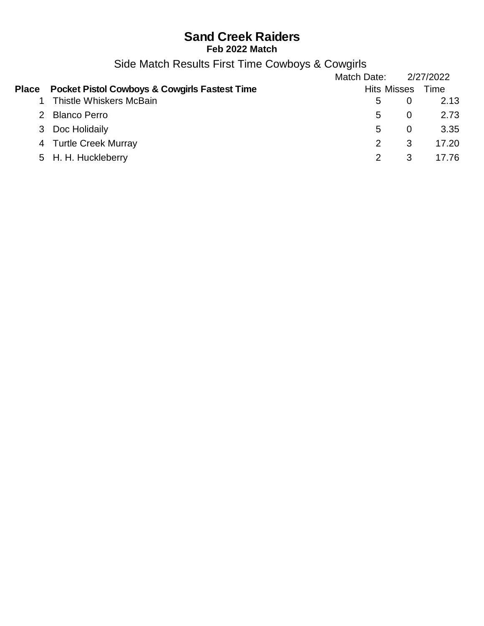# **Sand Creek Raiders**

**Feb 2022 Match**

Side Match Results First Time Cowboys & Cowgirls

|               |                                                          | Match Date: |                    | 2/27/2022 |
|---------------|----------------------------------------------------------|-------------|--------------------|-----------|
| <b>Place</b>  | <b>Pocket Pistol Cowboys &amp; Cowgirls Fastest Time</b> |             | <b>Hits Misses</b> | Time      |
|               | <b>Thistle Whiskers McBain</b>                           | 5           |                    | 2.13      |
| $\mathcal{P}$ | <b>Blanco Perro</b>                                      | 5.          | 0                  | 2.73      |
|               | 3 Doc Holidaily                                          | 5           | $\Omega$           | 3.35      |
|               | 4 Turtle Creek Murray                                    |             | 3                  | 17.20     |
|               | 5 H. H. Huckleberry                                      |             | 3                  | 17.76     |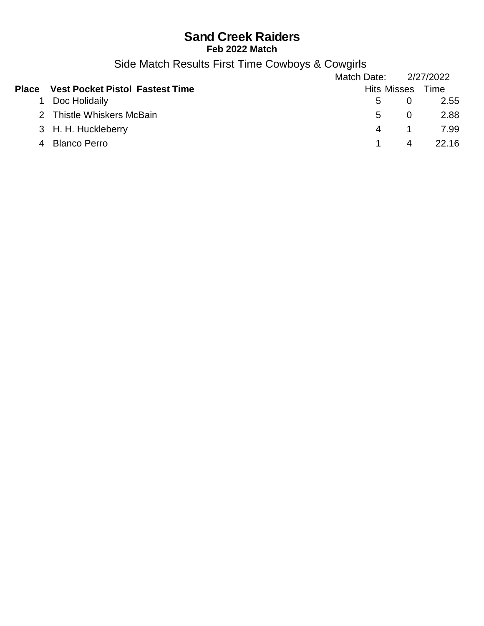Side Match Results First Time Cowboys & Cowgirls

|   |                                              | Match Date: 2/27/2022 |                    |       |
|---|----------------------------------------------|-----------------------|--------------------|-------|
|   | <b>Place</b> Vest Pocket Pistol Fastest Time |                       | Hits Misses Time   |       |
|   | Doc Holidaily                                | $5 -$                 |                    | 2.55  |
|   | 2 Thistle Whiskers McBain                    |                       | $5^{\circ}$<br>- 0 | 2.88  |
|   | 3 H. H. Huckleberry                          |                       | 4<br>$\sim$ 1      | 7.99  |
| 4 | <b>Blanco Perro</b>                          |                       | 4                  | 22 16 |